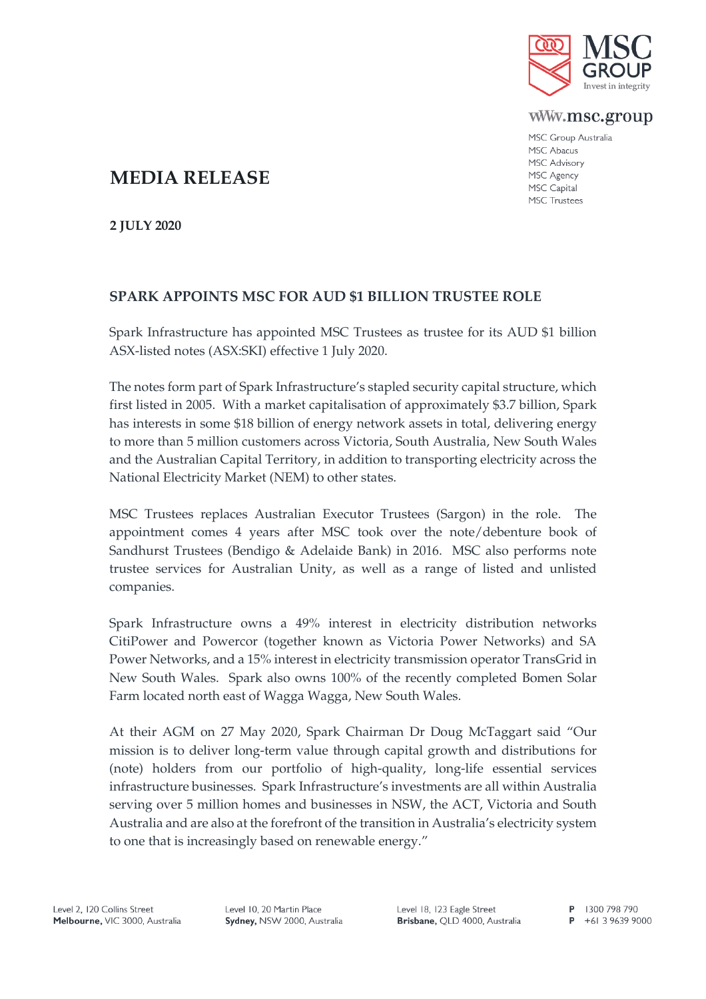

www.msc.group

MSC Group Australia MSC Abacus MSC Advisory MSC Agency MSC Capital **MSC Trustees** 

## **MEDIA RELEASE**

**2 JULY 2020**

## **SPARK APPOINTS MSC FOR AUD \$1 BILLION TRUSTEE ROLE**

Spark Infrastructure has appointed MSC Trustees as trustee for its AUD \$1 billion ASX-listed notes (ASX:SKI) effective 1 July 2020.

The notes form part of Spark Infrastructure's stapled security capital structure, which first listed in 2005. With a market capitalisation of approximately \$3.7 billion, Spark has interests in some \$18 billion of energy network assets in total, delivering energy to more than 5 million customers across Victoria, South Australia, New South Wales and the Australian Capital Territory, in addition to transporting electricity across the National Electricity Market (NEM) to other states.

MSC Trustees replaces Australian Executor Trustees (Sargon) in the role. The appointment comes 4 years after MSC took over the note/debenture book of Sandhurst Trustees (Bendigo & Adelaide Bank) in 2016. MSC also performs note trustee services for Australian Unity, as well as a range of listed and unlisted companies.

Spark Infrastructure owns a 49% interest in electricity distribution networks CitiPower and Powercor (together known as Victoria Power Networks) and SA Power Networks, and a 15% interest in electricity transmission operator TransGrid in New South Wales. Spark also owns 100% of the recently completed Bomen Solar Farm located north east of Wagga Wagga, New South Wales.

At their AGM on 27 May 2020, Spark Chairman Dr Doug McTaggart said "Our mission is to deliver long-term value through capital growth and distributions for (note) holders from our portfolio of high-quality, long-life essential services infrastructure businesses. Spark Infrastructure's investments are all within Australia serving over 5 million homes and businesses in NSW, the ACT, Victoria and South Australia and are also at the forefront of the transition in Australia's electricity system to one that is increasingly based on renewable energy."

Level 10, 20 Martin Place Sydney, NSW 2000, Australia

P 1300 798 790  $P$  +61 3 9639 9000